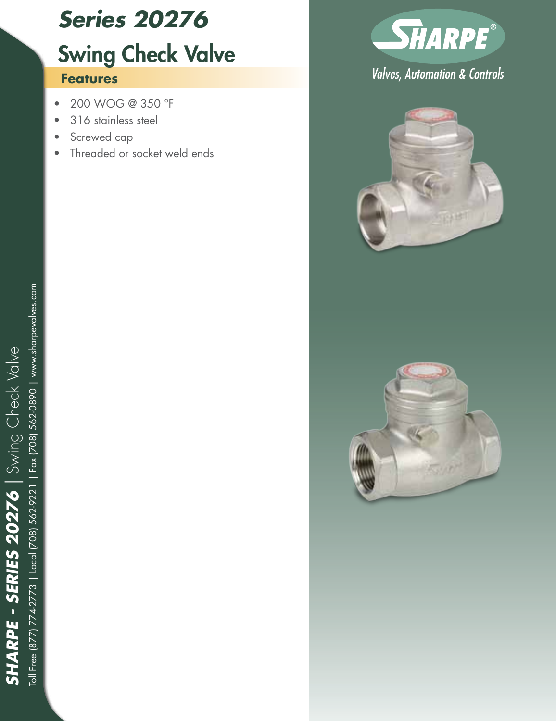# *Series 20276*

## Swing Check Valve

#### **Features**

- • 200 WOG @ 350 °F
- 316 stainless steel
- Screwed cap
- Threaded or socket weld ends



### **Valves, Automation & Controls**